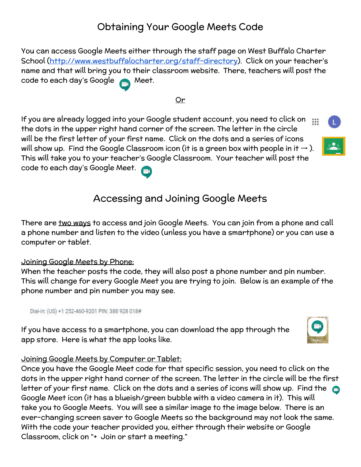# Obtaining Your Google Meets Code

You can access Google Meets either through the staff page on West Buffalo Charter School [\(http://www.westbuffalocharter.org/staff-directory\)](http://www.westbuffalocharter.org/staff-directory). Click on your teacher's name and that will bring you to their classroom website. There, teachers will post the code to each day's Google **A** Meet.

#### Or

If you are already logged into your Google student account, you need to click on  $\mathop{\mathbb{H}}\nolimits$ the dots in the upper right hand corner of the screen. The letter in the circle will be the first letter of your first name. Click on the dots and a series of icons will show up. Find the Google Classroom icon (it is a green box with people in it  $\rightarrow$  ). This will take you to your teacher's Google Classroom. Your teacher will post the code to each day's Google Meet.

## Accessing and Joining Google Meets

There are <u>two ways</u> to access and join Google Meets. You can join from a phone and call a phone number and listen to the video (unless you have a smartphone) or you can use a computer or tablet.

#### Joining Google Meets by Phone:

When the teacher posts the code, they will also post a phone number and pin number. This will change for every Google Meet you are trying to join. Below is an example of the phone number and pin number you may see.

Dial-in: (US) +1 252-460-9201 PIN: 388 928 018#

If you have access to a smartphone, you can download the app through the app store. Here is what the app looks like.



#### Joining Google Meets by Computer or Tablet:

Once you have the Google Meet code for that specific session, you need to click on the dots in the upper right hand corner of the screen. The letter in the circle will be the first letter of your first name. Click on the dots and a series of icons will show up. Find the Google Meet icon (it has a blueish/green bubble with a video camera in it). This will take you to Google Meets. You will see a similar image to the image below. There is an ever-changing screen saver to Google Meets so the background may not look the same. With the code your teacher provided you, either through their website or Google Classroom, click on "+ Join or start a meeting."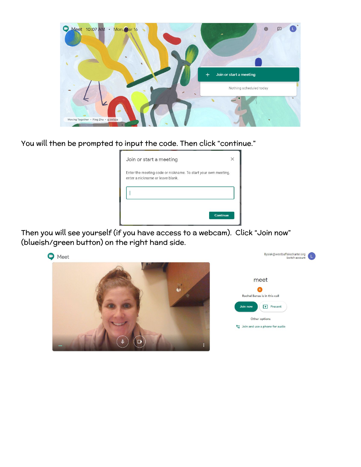

You will then be prompted to input the code. Then click "continue."



Then you will see yourself (if you have access to a webcam). Click "Join now" (blueish/green button) on the right hand side.